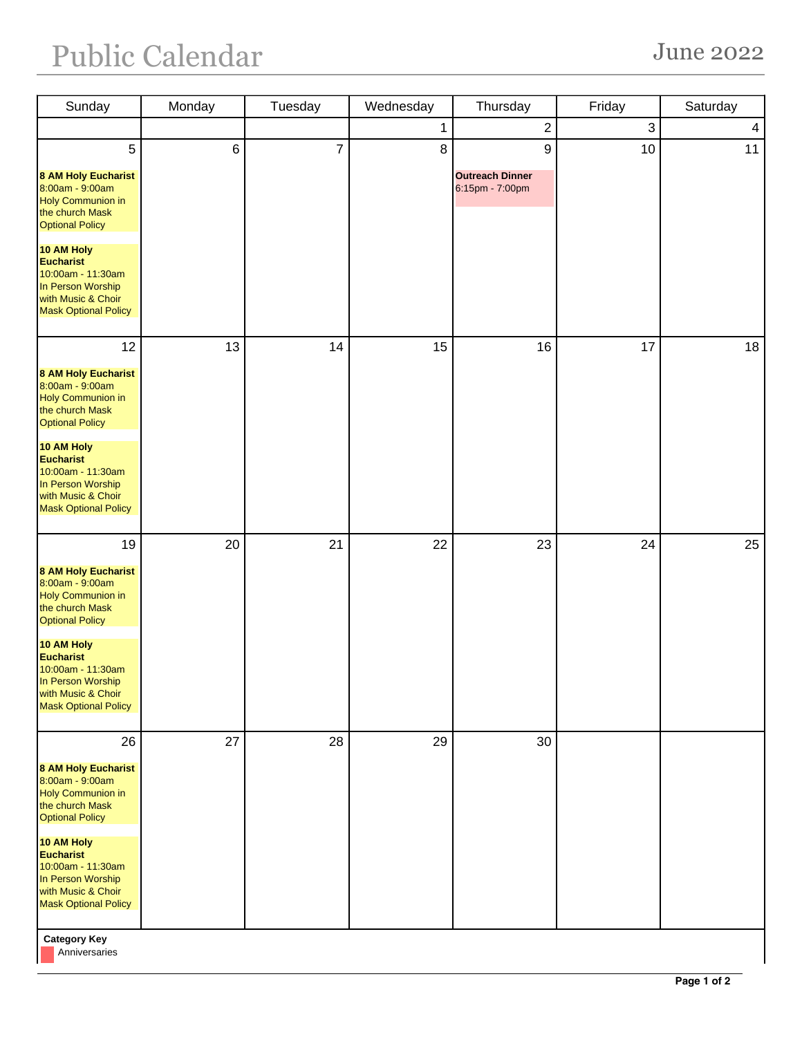## Public Calendar June 2022

| Sunday                                                                                                                        | Monday | Tuesday        | Wednesday | Thursday                                  | Friday | Saturday       |
|-------------------------------------------------------------------------------------------------------------------------------|--------|----------------|-----------|-------------------------------------------|--------|----------------|
|                                                                                                                               |        |                | 1         | $\sqrt{2}$                                | 3      | $\overline{4}$ |
| 5                                                                                                                             | 6      | $\overline{7}$ | 8         | $\boldsymbol{9}$                          | 10     | 11             |
| <b>8 AM Holy Eucharist</b><br>8:00am - 9:00am<br><b>Holy Communion in</b><br>the church Mask<br><b>Optional Policy</b>        |        |                |           | <b>Outreach Dinner</b><br>6:15pm - 7:00pm |        |                |
| 10 AM Holy<br><b>Eucharist</b><br>10:00am - 11:30am<br>In Person Worship<br>with Music & Choir<br><b>Mask Optional Policy</b> |        |                |           |                                           |        |                |
| 12                                                                                                                            | 13     | 14             | 15        | 16                                        | 17     | 18             |
| <b>8 AM Holy Eucharist</b><br>8:00am - 9:00am<br><b>Holy Communion in</b><br>the church Mask<br><b>Optional Policy</b>        |        |                |           |                                           |        |                |
| 10 AM Holy<br><b>Eucharist</b><br>10:00am - 11:30am<br>In Person Worship<br>with Music & Choir<br><b>Mask Optional Policy</b> |        |                |           |                                           |        |                |
| 19                                                                                                                            | 20     | 21             | 22        | 23                                        | 24     | 25             |
| <b>8 AM Holy Eucharist</b><br>8:00am - 9:00am<br><b>Holy Communion in</b><br>the church Mask<br><b>Optional Policy</b>        |        |                |           |                                           |        |                |
| 10 AM Holy<br><b>Eucharist</b><br>10:00am - 11:30am<br>In Person Worship<br>with Music & Choir<br><b>Mask Optional Policy</b> |        |                |           |                                           |        |                |
| 26                                                                                                                            | 27     | 28             | 29        | 30                                        |        |                |
| <b>8 AM Holy Eucharist</b><br>8:00am - 9:00am<br><b>Holy Communion in</b><br>the church Mask<br><b>Optional Policy</b>        |        |                |           |                                           |        |                |
| 10 AM Holy<br><b>Eucharist</b><br>10:00am - 11:30am<br>In Person Worship<br>with Music & Choir<br><b>Mask Optional Policy</b> |        |                |           |                                           |        |                |
| <b>Category Key</b>                                                                                                           |        |                |           |                                           |        |                |

Anniversaries